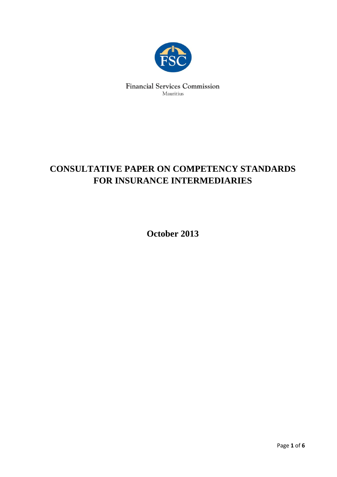

**Financial Services Commission** Mauritius

# **CONSULTATIVE PAPER ON COMPETENCY STANDARDS FOR INSURANCE INTERMEDIARIES**

**October 2013**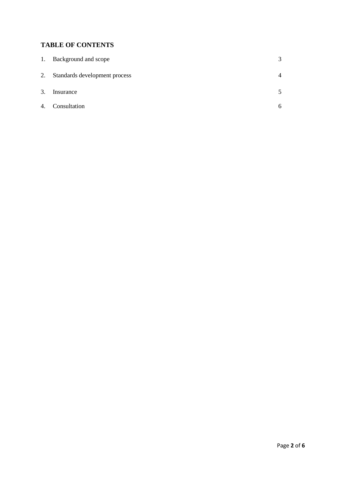## **TABLE OF CONTENTS**

| 1. | Background and scope          | 3              |
|----|-------------------------------|----------------|
| 2. | Standards development process | $\overline{4}$ |
| 3. | Insurance                     | 5              |
| 4. | Consultation                  | 6              |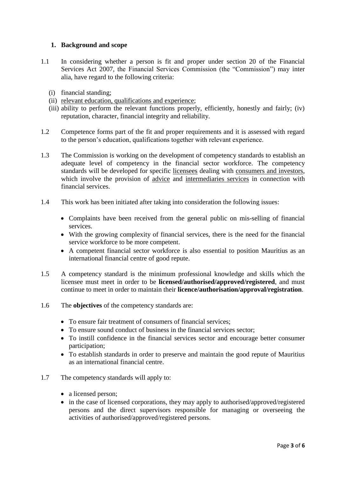### **1. Background and scope**

- 1.1 In considering whether a person is fit and proper under section 20 of the Financial Services Act 2007, the Financial Services Commission (the "Commission") may inter alia, have regard to the following criteria:
	- (i) financial standing;
	- (ii) relevant education, qualifications and experience;
	- (iii) ability to perform the relevant functions properly, efficiently, honestly and fairly; (iv) reputation, character, financial integrity and reliability.
- 1.2 Competence forms part of the fit and proper requirements and it is assessed with regard to the person's education, qualifications together with relevant experience.
- 1.3 The Commission is working on the development of competency standards to establish an adequate level of competency in the financial sector workforce. The competency standards will be developed for specific licensees dealing with consumers and investors, which involve the provision of advice and intermediaries services in connection with financial services.
- 1.4 This work has been initiated after taking into consideration the following issues:
	- Complaints have been received from the general public on mis-selling of financial services.
	- With the growing complexity of financial services, there is the need for the financial service workforce to be more competent.
	- A competent financial sector workforce is also essential to position Mauritius as an international financial centre of good repute.
- 1.5 A competency standard is the minimum professional knowledge and skills which the licensee must meet in order to be **licensed/authorised/approved/registered**, and must continue to meet in order to maintain their **licence/authorisation/approval/registration**.
- 1.6 The **objectives** of the competency standards are:
	- To ensure fair treatment of consumers of financial services:
	- To ensure sound conduct of business in the financial services sector;
	- To instill confidence in the financial services sector and encourage better consumer participation;
	- To establish standards in order to preserve and maintain the good repute of Mauritius as an international financial centre.
- 1.7 The competency standards will apply to:
	- a licensed person:
	- in the case of licensed corporations, they may apply to authorised/approved/registered persons and the direct supervisors responsible for managing or overseeing the activities of authorised/approved/registered persons.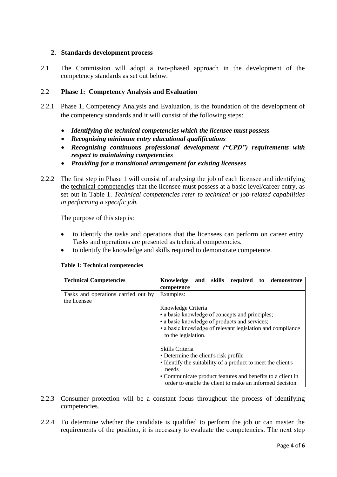#### **2. Standards development process**

2.1 The Commission will adopt a two-phased approach in the development of the competency standards as set out below.

#### 2.2 **Phase 1: Competency Analysis and Evaluation**

- 2.2.1 Phase 1, Competency Analysis and Evaluation, is the foundation of the development of the competency standards and it will consist of the following steps:
	- *Identifying the technical competencies which the licensee must possess*
	- *Recognising minimum entry educational qualifications*
	- *Recognising continuous professional development ("CPD") requirements with respect to maintaining competencies*
	- *Providing for a transitional arrangement for existing licensees*
- 2.2.2 The first step in Phase 1 will consist of analysing the job of each licensee and identifying the technical competencies that the licensee must possess at a basic level/career entry, as set out in Table 1. *Technical competencies refer to technical or job-related capabilities in performing a specific job.*

The purpose of this step is:

- to identify the tasks and operations that the licensees can perform on career entry. Tasks and operations are presented as technical competencies.
- to identify the knowledge and skills required to demonstrate competence.

#### **Table 1: Technical competencies**

| <b>Technical Competencies</b>       | Knowledge and skills required to demonstrate                 |
|-------------------------------------|--------------------------------------------------------------|
|                                     | competence                                                   |
| Tasks and operations carried out by | Examples:                                                    |
| the licensee                        |                                                              |
|                                     | Knowledge Criteria                                           |
|                                     | • a basic knowledge of concepts and principles;              |
|                                     | • a basic knowledge of products and services;                |
|                                     | • a basic knowledge of relevant legislation and compliance   |
|                                     | to the legislation.                                          |
|                                     |                                                              |
|                                     | Skills Criteria                                              |
|                                     | • Determine the client's risk profile                        |
|                                     | • Identify the suitability of a product to meet the client's |
|                                     | needs                                                        |
|                                     | • Communicate product features and benefits to a client in   |
|                                     | order to enable the client to make an informed decision.     |

- 2.2.3 Consumer protection will be a constant focus throughout the process of identifying competencies.
- 2.2.4 To determine whether the candidate is qualified to perform the job or can master the requirements of the position, it is necessary to evaluate the competencies. The next step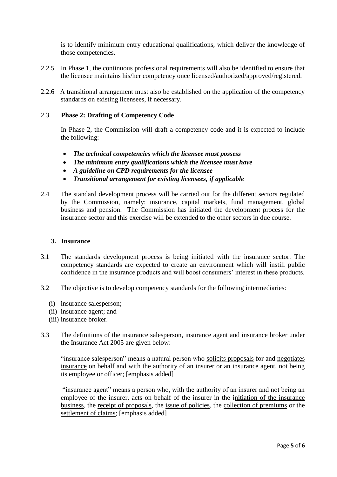is to identify minimum entry educational qualifications, which deliver the knowledge of those competencies.

- 2.2.5 In Phase 1, the continuous professional requirements will also be identified to ensure that the licensee maintains his/her competency once licensed/authorized/approved/registered.
- 2.2.6 A transitional arrangement must also be established on the application of the competency standards on existing licensees, if necessary.

#### 2.3 **Phase 2: Drafting of Competency Code**

In Phase 2, the Commission will draft a competency code and it is expected to include the following:

- *The technical competencies which the licensee must possess*
- *The minimum entry qualifications which the licensee must have*
- *A guideline on CPD requirements for the licensee*
- *Transitional arrangement for existing licensees, if applicable*
- 2.4 The standard development process will be carried out for the different sectors regulated by the Commission, namely: insurance, capital markets, fund management, global business and pension. The Commission has initiated the development process for the insurance sector and this exercise will be extended to the other sectors in due course.

#### **3. Insurance**

- 3.1 The standards development process is being initiated with the insurance sector. The competency standards are expected to create an environment which will instill public confidence in the insurance products and will boost consumers' interest in these products.
- 3.2 The objective is to develop competency standards for the following intermediaries:
	- (i) insurance salesperson;
	- (ii) insurance agent; and
	- (iii) insurance broker.
- 3.3 The definitions of the insurance salesperson, insurance agent and insurance broker under the Insurance Act 2005 are given below:

"insurance salesperson" means a natural person who solicits proposals for and negotiates insurance on behalf and with the authority of an insurer or an insurance agent, not being its employee or officer; [emphasis added]

"insurance agent" means a person who, with the authority of an insurer and not being an employee of the insurer, acts on behalf of the insurer in the initiation of the insurance business, the receipt of proposals, the issue of policies, the collection of premiums or the settlement of claims; [emphasis added]